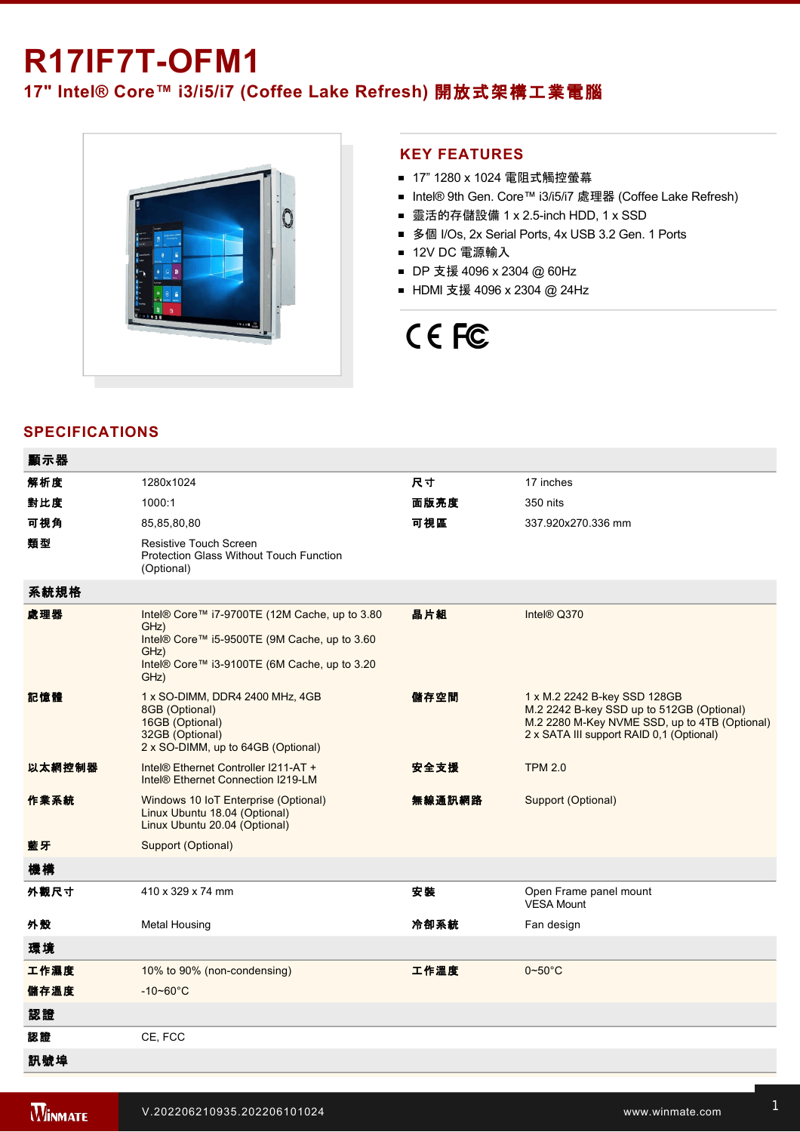# **R17IF7T-OFM1**

## **17" Intel® Core™ i3/i5/i7 (Coffee Lake Refresh)** 開放式架構工業電腦



#### **KEY FEATURES**

- 17" 1280 x 1024 電阻式觸控螢幕
- Intel® 9th Gen. Core™ i3/i5/i7 處理器 (Coffee Lake Refresh)
- 靈活的存儲設備 1 x 2.5-inch HDD, 1 x SSD
- 多個 I/Os, 2x Serial Ports, 4x USB 3.2 Gen. 1 Ports
- 12V DC 電源輸入
- DP 支援 4096 x 2304 @ 60Hz
- HDMI 支援 4096 x 2304 @ 24Hz

# CE FC

### **SPECIFICATIONS**

| 顯示器    |                                                                                                                                                                       |        |                                                                                                                                                                        |
|--------|-----------------------------------------------------------------------------------------------------------------------------------------------------------------------|--------|------------------------------------------------------------------------------------------------------------------------------------------------------------------------|
| 解析度    | 1280x1024                                                                                                                                                             | 尺寸     | 17 inches                                                                                                                                                              |
| 對比度    | 1000:1                                                                                                                                                                | 面版亮度   | 350 nits                                                                                                                                                               |
| 可視角    | 85,85,80,80                                                                                                                                                           | 可視區    | 337.920x270.336 mm                                                                                                                                                     |
| 類型     | <b>Resistive Touch Screen</b><br>Protection Glass Without Touch Function<br>(Optional)                                                                                |        |                                                                                                                                                                        |
| 系統規格   |                                                                                                                                                                       |        |                                                                                                                                                                        |
| 處理器    | Intel® Core™ i7-9700TE (12M Cache, up to 3.80<br>GHz)<br>Intel® Core™ i5-9500TE (9M Cache, up to 3.60<br>GHz)<br>Intel® Core™ i3-9100TE (6M Cache, up to 3.20<br>GHz) | 晶片組    | Intel® Q370                                                                                                                                                            |
| 記憶體    | 1 x SO-DIMM, DDR4 2400 MHz, 4GB<br>8GB (Optional)<br>16GB (Optional)<br>32GB (Optional)<br>2 x SO-DIMM, up to 64GB (Optional)                                         | 儲存空間   | 1 x M.2 2242 B-key SSD 128GB<br>M.2 2242 B-key SSD up to 512GB (Optional)<br>M.2 2280 M-Key NVME SSD, up to 4TB (Optional)<br>2 x SATA III support RAID 0.1 (Optional) |
| 以太網控制器 | Intel® Ethernet Controller I211-AT +<br>Intel <sup>®</sup> Ethernet Connection I219-LM                                                                                | 安全支援   | <b>TPM 2.0</b>                                                                                                                                                         |
| 作業系統   | Windows 10 IoT Enterprise (Optional)<br>Linux Ubuntu 18.04 (Optional)<br>Linux Ubuntu 20.04 (Optional)                                                                | 無線通訊網路 | <b>Support (Optional)</b>                                                                                                                                              |
| 藍牙     | Support (Optional)                                                                                                                                                    |        |                                                                                                                                                                        |
| 機構     |                                                                                                                                                                       |        |                                                                                                                                                                        |
| 外觀尺寸   | 410 x 329 x 74 mm                                                                                                                                                     | 安装     | Open Frame panel mount<br><b>VESA Mount</b>                                                                                                                            |
| 外殼     | <b>Metal Housing</b>                                                                                                                                                  | 冷卻系統   | Fan design                                                                                                                                                             |
| 環境     |                                                                                                                                                                       |        |                                                                                                                                                                        |
| 工作濕度   | 10% to 90% (non-condensing)                                                                                                                                           | 工作溫度   | $0\nightharpoonup 50^\circ C$                                                                                                                                          |
| 儲存溫度   | $-10 - 60^{\circ}$ C                                                                                                                                                  |        |                                                                                                                                                                        |
| 認證     |                                                                                                                                                                       |        |                                                                                                                                                                        |
| 認證     | CE, FCC                                                                                                                                                               |        |                                                                                                                                                                        |
| 訊號埠    |                                                                                                                                                                       |        |                                                                                                                                                                        |
|        |                                                                                                                                                                       |        |                                                                                                                                                                        |